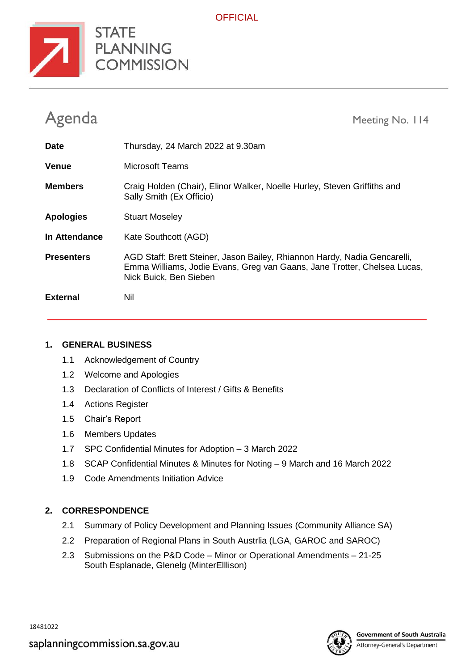

**OFFICIAL** 

| Agenda            | Meeting No. 114                                                                                                                                                                 |
|-------------------|---------------------------------------------------------------------------------------------------------------------------------------------------------------------------------|
| <b>Date</b>       | Thursday, 24 March 2022 at 9.30am                                                                                                                                               |
| <b>Venue</b>      | Microsoft Teams                                                                                                                                                                 |
| <b>Members</b>    | Craig Holden (Chair), Elinor Walker, Noelle Hurley, Steven Griffiths and<br>Sally Smith (Ex Officio)                                                                            |
| <b>Apologies</b>  | <b>Stuart Moseley</b>                                                                                                                                                           |
| In Attendance     | Kate Southcott (AGD)                                                                                                                                                            |
| <b>Presenters</b> | AGD Staff: Brett Steiner, Jason Bailey, Rhiannon Hardy, Nadia Gencarelli,<br>Emma Williams, Jodie Evans, Greg van Gaans, Jane Trotter, Chelsea Lucas,<br>Nick Buick, Ben Sieben |
| <b>External</b>   | Nil                                                                                                                                                                             |

### **1. GENERAL BUSINESS**

- 1.1 Acknowledgement of Country
- 1.2 Welcome and Apologies
- 1.3 Declaration of Conflicts of Interest / Gifts & Benefits
- 1.4 Actions Register
- 1.5 Chair's Report
- 1.6 Members Updates
- 1.7 SPC Confidential Minutes for Adoption 3 March 2022
- 1.8 SCAP Confidential Minutes & Minutes for Noting 9 March and 16 March 2022
- 1.9 Code Amendments Initiation Advice

## **2. CORRESPONDENCE**

- 2.1 Summary of Policy Development and Planning Issues (Community Alliance SA)
- 2.2 Preparation of Regional Plans in South Austrlia (LGA, GAROC and SAROC)
- 2.3 Submissions on the P&D Code Minor or Operational Amendments 21-25 South Esplanade, Glenelg (MinterElllison)